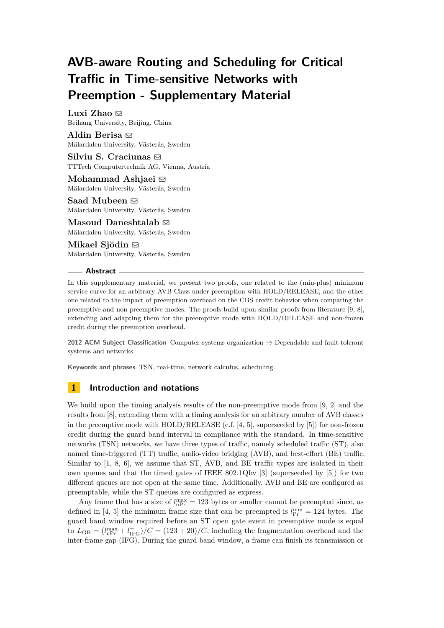# **AVB-aware Routing and Scheduling for Critical Traffic in Time-sensitive Networks with Preemption - Supplementary Material**

**Luxi Zhao**  $\boxtimes$ Beihang University, Beijing, China

**Aldin Berisa**  $\boxtimes$ Mälardalen University, Västerås, Sweden

Silviu S. Craciunas  $\boxdot$ TTTech Computertechnik AG, Vienna, Austria

Mohammad Ashjaei **⊠** Mälardalen University, Västerås, Sweden

Saad Mubeen  $\boxtimes$ Mälardalen University, Västerås, Sweden

**Masoud Daneshtalab**  $\boxtimes$ Mälardalen University, Västerås, Sweden

**Mikael Sjödin** ⊠ Mälardalen University, Västerås, Sweden

## **Abstract**

In this supplementary material, we present two proofs, one related to the (min-plus) minimum service curve for an arbitrary AVB Class under preemption with HOLD/RELEASE, and the other one related to the impact of preemption overhead on the CBS credit behavior when comparing the preemptive and non-preemptive modes. The proofs build upon similar proofs from literature [\[9,](#page-7-0) [8\]](#page-7-1), extending and adapting them for the preemptive mode with HOLD/RELEASE and non-frozen credit during the preemption overhead.

**2012 ACM Subject Classification** Computer systems organization → Dependable and fault-tolerant systems and networks

**Keywords and phrases** TSN, real-time, network calculus, scheduling.

# **1 Introduction and notations**

We build upon the timing analysis results of the non-preemptive mode from [\[9,](#page-7-0) [2\]](#page-7-2) and the results from [\[8\]](#page-7-1), extending them with a timing analysis for an arbitrary number of AVB classes in the preemptive mode with  $HOLD/RELEASE$  (c.f. [\[4,](#page-7-3) [5\]](#page-7-4), superseeded by [\[5\]](#page-7-4)) for non-frozen credit during the guard band interval in compliance with the standard. In time-sensitive networks (TSN) networks, we have three types of traffic, namely scheduled traffic (ST), also named time-triggered (TT) traffic, audio-video bridging (AVB), and best-effort (BE) traffic. Similar to [\[1,](#page-7-5) [8,](#page-7-1) [6\]](#page-7-6), we assume that ST, AVB, and BE traffic types are isolated in their own queues and that the timed gates of IEEE 802.1Qbv [\[3\]](#page-7-7) (superseeded by [\[5\]](#page-7-4)) for two different queues are not open at the same time. Additionally, AVB and BE are configured as preemptable, while the ST queues are configured as express.

Any frame that has a size of  $l_{\rm nPr}^{\rm max} = 123$  bytes or smaller cannot be preempted since, as defined in [\[4,](#page-7-3) [5\]](#page-7-4) the minimum frame size that can be preempted is  $l_{\text{Pr}}^{\text{min}} = 124$  bytes. The guard band window required before an ST open gate event in preemptive mode is equal to  $L_{GB} = (l_{nPr}^{max} + l_{IFG}^{+})/C = (123 + 20)/C$ , including the fragmentation overhead and the inter-frame gap (IFG). During the guard band window, a frame can finish its transmission or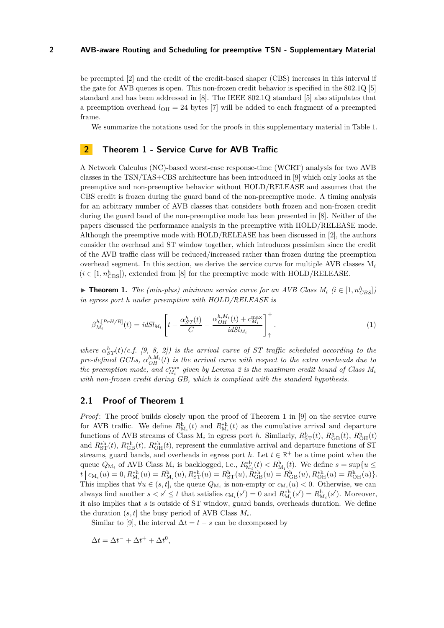be preempted [\[2\]](#page-7-2) and the credit of the credit-based shaper (CBS) increases in this interval if the gate for AVB queues is open. This non-frozen credit behavior is specified in the 802.1Q [\[5\]](#page-7-4) standard and has been addressed in [\[8\]](#page-7-1). The IEEE 802.1Q standard [\[5\]](#page-7-4) also stipulates that a preemption overhead  $l_{\text{OH}} = 24$  bytes [\[7\]](#page-7-8) will be added to each fragment of a preempted frame.

We summarize the notations used for the proofs in this supplementary material in Table [1.](#page-2-0)

## **2 Theorem 1 - Service Curve for AVB Traffic**

A Network Calculus (NC)-based worst-case response-time (WCRT) analysis for two AVB classes in the TSN/TAS+CBS architecture has been introduced in [\[9\]](#page-7-0) which only looks at the preemptive and non-preemptive behavior without HOLD/RELEASE and assumes that the CBS credit is frozen during the guard band of the non-preemptive mode. A timing analysis for an arbitrary number of AVB classes that considers both frozen and non-frozen credit during the guard band of the non-preemptive mode has been presented in [\[8\]](#page-7-1). Neither of the papers discussed the performance analysis in the preemptive with HOLD/RELEASE mode. Although the preemptive mode with HOLD/RELEASE has been discussed in [\[2\]](#page-7-2), the authors consider the overhead and ST window together, which introduces pessimism since the credit of the AVB traffic class will be reduced/increased rather than frozen during the preemption overhead segment. In this section, we derive the service curve for multiple AVB classes M*<sup>i</sup>*  $(i \in [1, n_{\text{CBS}}^{\text{h}}])$ , extended from [\[8\]](#page-7-1) for the preemptive mode with HOLD/RELEASE.

<span id="page-1-0"></span>▶ **Theorem 1.** *The (min-plus) minimum service curve for an AVB Class*  $M_i$  ( $i \in [1, n_{CBS}^h]$ ) *in egress port h under preemption with HOLD/RELEASE is*

$$
\beta_{M_i}^{h,[PrH/R]}(t) = idSl_{M_i} \left[ t - \frac{\alpha_{ST}^h(t)}{C} - \frac{\alpha_{OH}^{h,M_i}(t) + c_{M_i}^{\max}}{idSl_{M_i}} \right]_+^+.
$$
\n(1)

*where*  $\alpha_{ST}^h(t)$  (*c.f.* [\[9,](#page-7-0) [8,](#page-7-1) [2\]](#page-7-2)) is the arrival curve of ST traffic scheduled according to the *pre-defined GCLs,*  $\alpha_{OH}^{h,M_i}(t)$  *is the arrival curve with respect to the extra overheads due to the preemption mode, and*  $c_{M_i}^{\text{max}}$  given by Lemma [2](#page-4-0) is the maximum credit bound of Class  $M_i$ *with non-frozen credit during GB, which is compliant with the standard hypothesis.*

## **2.1 Proof of Theorem [1](#page-1-0)**

*Proof*: The proof builds closely upon the proof of Theorem 1 in [\[9\]](#page-7-0) on the service curve for AVB traffic. We define  $R_{M_i}^h(t)$  and  $R_{M_i}^{*h}(t)$  as the cumulative arrival and departure functions of AVB streams of Class  $M_i$  in egress port *h*. Similarly,  $R_{ST}^h(t)$ ,  $R_{GB}^h(t)$ ,  $R_{OH}^h(t)$ and  $R_{\text{ST}}^{*h}(t)$ ,  $R_{\text{GB}}^{*h}(t)$ ,  $R_{\text{OH}}^{*h}(t)$ , represent the cumulative arrival and departure functions of ST streams, guard bands, and overheads in egress port *h*. Let  $t \in \mathbb{R}^+$  be a time point when the queue  $Q_{\mathbf{M}_i}$  of AVB Class  $\mathbf{M}_i$  is backlogged, i.e.,  $R_{\mathbf{M}_i}^{*\text{h}}(t) < R_{\mathbf{M}_i}^{\text{h}}(t)$ . We define  $s = \sup\{u \leq$  $t | c_{M_i}(u) = 0, R_{M_i}^{*h}(u) = R_{M_i}^{h}(u), R_{ST}^{*h}(u) = R_{ST}^{h}(u), R_{GB}^{*h}(u) = R_{GB}^{h}(u), R_{OH}^{*h}(u) = R_{OH}^{h}(u)$ This implies that  $\forall u \in (s, t]$ , the queue  $Q_{\mathcal{M}_i}$  is non-empty or  $c_{\mathcal{M}_i}(u) < 0$ . Otherwise, we can always find another  $s < s' \le t$  that satisfies  $c_{M_i}(s') = 0$  and  $R_{M_i}^{*h}(s') = R_{M_i}^h(s')$ . Moreover, it also implies that *s* is outside of ST window, guard bands, overheads duration. We define the duration  $(s, t]$  the busy period of AVB Class  $M_i$ .

Similar to [\[9\]](#page-7-0), the interval  $\Delta t = t - s$  can be decomposed by

$$
\Delta t = \Delta t^- + \Delta t^+ + \Delta t^0,
$$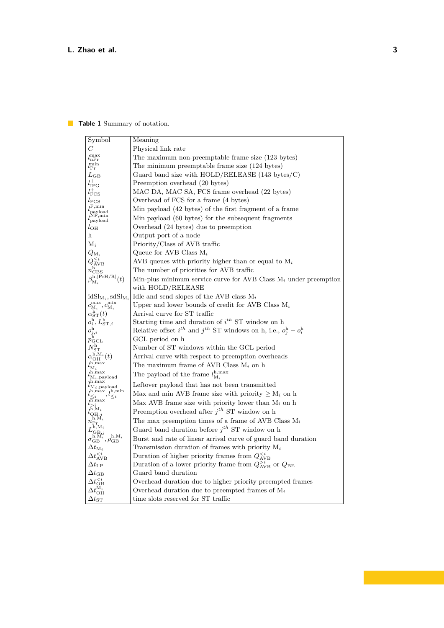# <span id="page-2-0"></span>**Table 1** Summary of notation.

| Symbol                                                                                                                                       | Meaning                                                                          |
|----------------------------------------------------------------------------------------------------------------------------------------------|----------------------------------------------------------------------------------|
| C                                                                                                                                            | Physical link rate                                                               |
| $l_{\rm nPr}^{\rm max}$                                                                                                                      | The maximum non-preemptable frame size (123 bytes)                               |
| $l_{\rm Pr}^{\rm min}$                                                                                                                       | The minimum preemptable frame size (124 bytes)                                   |
|                                                                                                                                              |                                                                                  |
| $L_{\rm GB}$                                                                                                                                 | Guard band size with $HOLD/RELEASE$ (143 bytes/C)                                |
| $l_{\rm{IFG}}^{+}$                                                                                                                           | Preemption overhead (20 bytes)<br>MAC DA, MAC SA, FCS frame overhead (22 bytes)  |
| $l_{\rm FCS}^+$                                                                                                                              |                                                                                  |
| $l_{\rm FCS}$                                                                                                                                | Overhead of FCS for a frame (4 bytes)                                            |
| $\begin{array}{l} l_{\rm{payload}}^{\rm{F,min}}\\ l_{\rm{payload}}^{\rm{NF,min}} \end{array}$                                                | Min payload (42 bytes) of the first fragment of a frame                          |
|                                                                                                                                              | Min payload (60 bytes) for the subsequent fragments                              |
| $l_{\text{OH}}$                                                                                                                              | Overhead (24 bytes) due to preemption                                            |
| h                                                                                                                                            | Output port of a node                                                            |
| $M_i$                                                                                                                                        | Priority/Class of AVB traffic                                                    |
| $Q_{\mathrm{M}_i}$                                                                                                                           | Queue for AVB Class $M_i$                                                        |
|                                                                                                                                              | AVB queues with priority higher than or equal to $M_i$                           |
| $\tilde{Q}^{\leq i}_{\rm AVB} \over \beta^{\rm h}_{\rm M_i}^{\rm 1\,PS} \over \beta^{\rm h,[PrH/R]}_{\rm M_i}(t)$                            | The number of priorities for AVB traffic                                         |
|                                                                                                                                              | Min-plus minimum service curve for AVB Class $M_i$ under preemption              |
|                                                                                                                                              | with HOLD/RELEASE                                                                |
| $idSl_{M_i}, sdSl_{M_i}$                                                                                                                     | Idle and send slopes of the AVB class $M_i$                                      |
| $c_{\mathrm{M}_i}^{\mathrm{max}}, c_{\mathrm{M}_i}^{\mathrm{min}}$                                                                           | Upper and lower bounds of credit for AVB Class $M_i$                             |
| $\alpha^{\text{h}^*}_{\text{ST}}(t)$                                                                                                         | Arrival curve for ST traffic                                                     |
| $o_i^{\rm h}, L_{\mathrm{ST},i}^{\rm h}$                                                                                                     | Starting time and duration of $i^{th}$ ST window on h                            |
| $o_{j,i}^{\overline{\text{h}}}$                                                                                                              | Relative offset $i^{th}$ and $j^{th}$ ST windows on h, i.e., $o_j^h - o_i^h$     |
| $p_{\rm GCL}^{\rm h}$                                                                                                                        | GCL period on h                                                                  |
| $N^{\rm h}_{\rm ST} \alpha^{\rm h,M}_{{\rm OH}}(t) \hbox{}_{l^{\rm h,max}}^{\rm h,M}$                                                        | Number of ST windows within the GCL period                                       |
|                                                                                                                                              | Arrival curve with respect to preemption overheads                               |
|                                                                                                                                              | The maximum frame of AVB Class $M_i$ on h                                        |
| $_{h,\mathrm{max}}$<br>$l_{\mathrm{M}_i,\mathrm{payload}}$                                                                                   | The payload of the frame $l_{\text{M}_i}^{\text{h,max}}$                         |
| h,max;                                                                                                                                       | Leftover payload that has not been transmitted                                   |
| $\iota_{\mathrm{M}_i,\mathrm{payload}}$<br>$l_{\leq i}^{\rm h,max}, l_{\leq i}^{\rm h,min}$                                                  | Max and min AVB frame size with priority $\geq M_i$ on h                         |
| $l^{\overline{\textrm{h}},\max}_{\cdot}$                                                                                                     | Max AVB frame size with priority lower than $M_i$ on h                           |
|                                                                                                                                              | Preemption overhead after $j^{th}$ ST window on h                                |
| $l^{\tilde{\rm h},\rm M_{\it i}}_{\rm OH,\it j}_{\rm h,\rm M_{\it i}}$                                                                       | The max preemption times of a frame of AVB Class $\mathbf{M}_i$                  |
| $n_{\rm Pr_a}$                                                                                                                               | Guard band duration before $j^{th}$ ST window on h                               |
| $L^{\mathrm{h},\mathrm{M}_i}_{\mathrm{GB},j} \ \sigma^{\mathrm{h},\mathrm{M}_i}_{\mathrm{GB}}, \rho^{\mathrm{h},\mathrm{M}_i}_{\mathrm{GB}}$ | Burst and rate of linear arrival curve of guard band duration                    |
|                                                                                                                                              |                                                                                  |
| $\Delta t_{{\rm M}_i}$<br>$\Delta t_{\rm AVB}^{$                                                                                             | Transmission duration of frames with priority $M_i$                              |
|                                                                                                                                              | Duration of higher priority frames from $Q_{\text{AVB}}^{< i}$                   |
| $\Delta t_{\rm LP}$                                                                                                                          | Duration of a lower priority frame from $Q_{\text{AVB}}^{>i}$ or $Q_{\text{BE}}$ |
| $\Delta t_{\text{GB}}$                                                                                                                       | Guard band duration                                                              |
| $\Delta t_{{\rm OH}}^{\le i} \ \Delta t_{{\rm OH}}^{{\rm M}_i}$                                                                              | Overhead duration due to higher priority preempted frames                        |
|                                                                                                                                              | Overhead duration due to preempted frames of $M_i$                               |
| $\Delta t_\mathrm{ST}$                                                                                                                       | time slots reserved for ST traffic                                               |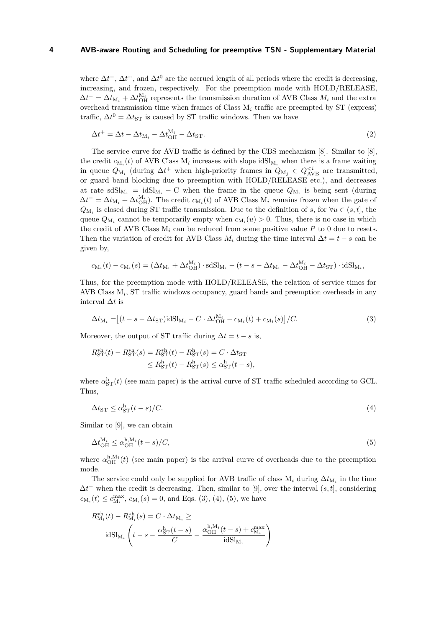where  $\Delta t^-$ ,  $\Delta t^+$ , and  $\Delta t^0$  are the accrued length of all periods where the credit is decreasing, increasing, and frozen, respectively. For the preemption mode with HOLD/RELEASE,  $\Delta t^{-} = \Delta t_{\text{M}_i} + \Delta t_{\text{OH}}^{\text{M}_i}$  represents the transmission duration of AVB Class  $M_i$  and the extra overhead transmission time when frames of Class M*<sup>i</sup>* traffic are preempted by ST (express) traffic,  $\Delta t^0 = \Delta t_{ST}$  is caused by ST traffic windows. Then we have

$$
\Delta t^+ = \Delta t - \Delta t_{\mathrm{M}_i} - \Delta t_{\mathrm{OH}}^{\mathrm{M}_i} - \Delta t_{\mathrm{ST}}.\tag{2}
$$

The service curve for AVB traffic is defined by the CBS mechanism [\[8\]](#page-7-1). Similar to [\[8\]](#page-7-1), the credit  $c_{M_i}(t)$  of AVB Class  $M_i$  increases with slope  $\text{idSl}_{M_i}$  when there is a frame waiting in queue  $Q_{\mathrm{M}_i}$  (during  $\Delta t^+$  when high-priority frames in  $Q_{\mathrm{M}_j} \in Q_{\mathrm{AVB}}^{\leq i}$  are transmitted, or guard band blocking due to preemption with HOLD/RELEASE etc.), and decreases at rate  $sdSl_{M_i} = idSl_{M_i} - C$  when the frame in the queue  $Q_{M_i}$  is being sent (during  $\Delta t^{-} = \Delta t_{\text{M}_i} + \Delta t_{\text{OH}}^{\text{M}_i}$ . The credit  $c_{\text{M}_i}(t)$  of AVB Class  $\text{M}_i$  remains frozen when the gate of *Q*<sub>M<sub>*i*</sub></sub> is closed during ST traffic transmission. Due to the definition of *s*, for ∀*u* ∈ (*s*, *t*], the queue  $Q_{\mathbf{M}_i}$  cannot be temporarily empty when  $c_{\mathbf{M}_i}(u) > 0$ . Thus, there is no case in which the credit of AVB Class  $M_i$  can be reduced from some positive value  $P$  to 0 due to resets. Then the variation of credit for AVB Class  $M_i$  during the time interval  $\Delta t = t - s$  can be given by,

$$
c_{\mathcal{M}_i}(t) - c_{\mathcal{M}_i}(s) = \left(\Delta t_{\mathcal{M}_i} + \Delta t_{\mathcal{O}H}^{M_i}\right) \cdot \mathrm{sdSl}_{\mathcal{M}_i} - (t - s - \Delta t_{\mathcal{M}_i} - \Delta t_{\mathcal{O}H}^{M_i} - \Delta t_{\mathcal{S}T}) \cdot \mathrm{idSl}_{\mathcal{M}_i},
$$

Thus, for the preemption mode with HOLD/RELEASE, the relation of service times for AVB Class M*<sup>i</sup>* , ST traffic windows occupancy, guard bands and preemption overheads in any interval ∆*t* is

<span id="page-3-0"></span>
$$
\Delta t_{\mathrm{M}_i} = \left[ (t - s - \Delta t_{\mathrm{ST}}) \mathrm{id} \mathrm{Sl}_{\mathrm{M}_i} - C \cdot \Delta t_{\mathrm{OH}}^{\mathrm{M}_i} - c_{\mathrm{M}_i}(t) + c_{\mathrm{M}_i}(s) \right] / C. \tag{3}
$$

Moreover, the output of ST traffic during  $\Delta t = t - s$  is,

$$
R_{\rm ST}^{*h}(t) - R_{\rm ST}^{*h}(s) = R_{\rm ST}^{*h}(t) - R_{\rm ST}^{h}(s) = C \cdot \Delta t_{\rm ST}
$$
  

$$
\leq R_{\rm ST}^{h}(t) - R_{\rm ST}^{h}(s) \leq \alpha_{\rm ST}^{h}(t - s),
$$

<span id="page-3-1"></span>where  $\alpha_{\rm ST}^{\rm h}(t)$  (see main paper) is the arrival curve of ST traffic scheduled according to GCL. Thus,

<span id="page-3-2"></span>
$$
\Delta t_{\rm ST} \le \alpha_{\rm ST}^{\rm h}(t-s)/C. \tag{4}
$$

Similar to [\[9\]](#page-7-0), we can obtain

$$
\Delta t_{\text{OH}}^{\text{M}_i} \le \alpha_{\text{OH}}^{\text{h},\text{M}_i}(t-s)/C,\tag{5}
$$

where  $\alpha_{\text{OH}}^{h,M_i}(t)$  (see main paper) is the arrival curve of overheads due to the preemption mode.

The service could only be supplied for AVB traffic of class  $M_i$  during  $\Delta t_{M_i}$  in the time  $\Delta t$ <sup>-</sup> when the credit is decreasing. Then, similar to [\[9\]](#page-7-0), over the interval  $(s, t]$ , considering  $c_{\mathrm{M}_i}(t) \leq c_{\mathrm{M}_i}^{\max}$ ,  $c_{\mathrm{M}_i}(s) = 0$ , and Eqs. [\(3\)](#page-3-0), [\(4\)](#page-3-1), [\(5\)](#page-3-2), we have

$$
R_{\mathbf{M}_i}^{*\mathrm{h}}(t) - R_{\mathbf{M}_i}^{*\mathrm{h}}(s) = C \cdot \Delta t_{\mathbf{M}_i} \ge
$$

$$
\mathrm{idSl}_{\mathbf{M}_i} \left( t - s - \frac{\alpha_{\mathrm{ST}}^{\mathrm{h}}(t - s)}{C} - \frac{\alpha_{\mathrm{OH}}^{\mathrm{h}, \mathbf{M}_i}(t - s) + c_{\mathbf{M}_i}^{\mathrm{max}}}{\mathrm{idSl}_{\mathbf{M}_i}} \right)
$$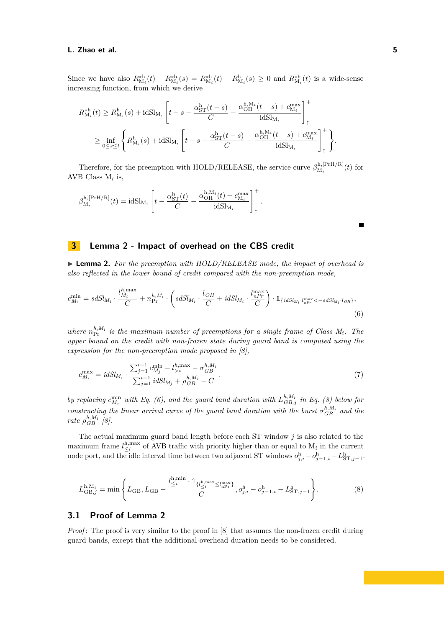#### **L. Zhao et al. 5**

Since we have also  $R_{M_i}^{*h}(t) - R_{M_i}^{*h}(s) = R_{M_i}^{*h}(t) - R_{M_i}^{h}(s) \ge 0$  and  $R_{M_i}^{*h}(t)$  is a wide-sense increasing function, from which we derive

$$
R_{\mathbf{M}_i}^{*\mathrm{h}}(t) \geq R_{\mathbf{M}_i}^{\mathrm{h}}(s) + \mathrm{id} \mathrm{Sl}_{\mathbf{M}_i} \left[ t - s - \frac{\alpha_{\mathrm{ST}}^{\mathrm{h}}(t-s)}{C} - \frac{\alpha_{\mathrm{OH}}^{\mathrm{h},\mathbf{M}_i}(t-s) + c_{\mathbf{M}_i}^{\mathrm{max}}}{\mathrm{id} \mathrm{Sl}_{\mathbf{M}_i}} \right]_+^+
$$
  

$$
\geq \inf_{0 \leq s \leq t} \left\{ R_{\mathbf{M}_i}^{\mathrm{h}}(s) + \mathrm{id} \mathrm{Sl}_{\mathbf{M}_i} \left[ t - s - \frac{\alpha_{\mathrm{ST}}^{\mathrm{h}}(t-s)}{C} - \frac{\alpha_{\mathrm{OH}}^{\mathrm{h},\mathbf{M}_i}(t-s) + c_{\mathbf{M}_i}^{\mathrm{max}}}{\mathrm{id} \mathrm{Sl}_{\mathbf{M}_i}} \right]_+^+ \right\}.
$$

Therefore, for the preemption with HOLD/RELEASE, the service curve  $\beta_{\text{M}}^{\text{h},\text{[PrH/R]}}$  $\int_{M_i}^{\text{in},\text{[FIn/}n]}(t)$  for AVB Class M*<sup>i</sup>* is,

$$
\beta^{\rm h,[PrH/R]}_{{\rm M}_i}(t) = {\rm idSl}_{{\rm M}_i}\left[ t - \frac{\alpha_{\rm ST}^{\rm h}(t)}{C} - \frac{\alpha_{\rm OH}^{{\rm h}, {\rm M}_i}(t) + c_{{\rm M}_i}^{\rm max}} {{\rm idSl}_{{\rm M}_i}}\right]_+^+.
$$

# **3 Lemma 2 - Impact of overhead on the CBS credit**

<span id="page-4-0"></span>▶ **Lemma 2.** *For the preemption with HOLD/RELEASE mode, the impact of overhead is also reflected in the lower bound of credit compared with the non-preemption mode,*

$$
c_{M_i}^{\min} = s dS l_{M_i} \cdot \frac{l_{M_i}^{h,\max}}{C} + n_{\text{Pr}}^{h,M_i} \cdot \left(s dS l_{M_i} \cdot \frac{l_{OH}}{C} + i dS l_{M_i} \cdot \frac{l_{nPr}^{\max}}{C}\right) \cdot \mathbb{1}_{\{idS l_{M_i} \cdot l_{nPr}^{\max} < -sdS l_{M_i} \cdot l_{OH}\}},\tag{6}
$$

*where*  $n_{\text{Pr}}^{h,M_i}$  *is the maximum number of preemptions for a single frame of Class*  $M_i$ *. The upper bound on the credit with non-frozen state during guard band is computed using the expression for the non-preemption mode proposed in [\[8\]](#page-7-1),*

$$
c_{M_i}^{\max} = idSl_{M_i} \cdot \frac{\sum_{j=1}^{i-1} c_{M_j}^{\min} - l_{>i}^{h,\max} - \sigma_{GB}^{h,M_i}}{\sum_{j=1}^{i-1} idSl_{M_j} + \rho_{GB}^{h,M_i} - C}.
$$
\n(7)

*by replacing*  $c_{M_j}^{\min}$  with Eq. [\(6\)](#page-4-1), and the guard band duration with  $L_{GB,j}^{h,M_i}$  in Eq. [\(8\)](#page-4-2) below for *constructing the linear arrival curve of the guard band duration with the burst*  $\sigma_{GB}^{h,M_i}$  and the *rate*  $\rho_{GB}^{h,M_i}$  [\[8\]](#page-7-1)*.* 

The actual maximum guard band length before each ST window *j* is also related to the maximum frame  $l_{\leq i}^{\text{h,max}}$  of AVB traffic with priority higher than or equal to  $M_i$  in the current node port, and the idle interval time between two adjacent ST windows  $o_{j,i}^{\text{h}} - o_{j-1,i}^{\text{h}} - L_{ST,j-1}^{\text{h}}$ .

<span id="page-4-2"></span>
$$
L_{GB,j}^{\mathrm{h},\mathrm{M}_{i}} = \min\left\{L_{\mathrm{GB}}, L_{\mathrm{GB}} - \frac{l_{\leq i}^{\mathrm{h},\mathrm{min}} \cdot \mathbb{1}_{\{l_{\leq i}^{\mathrm{h},\mathrm{max}} \leq l_{\mathrm{nPr}}^{\mathrm{max}}\}}{C}, o_{j,i}^{\mathrm{h}} - o_{j-1,i}^{\mathrm{h}} - L_{\mathrm{ST},j-1}^{\mathrm{h}}\right\}.
$$
(8)

# **3.1 Proof of Lemma [2](#page-4-0)**

*Proof*: The proof is very similar to the proof in [\[8\]](#page-7-1) that assumes the non-frozen credit during guard bands, except that the additional overhead duration needs to be considered.

<span id="page-4-1"></span>Г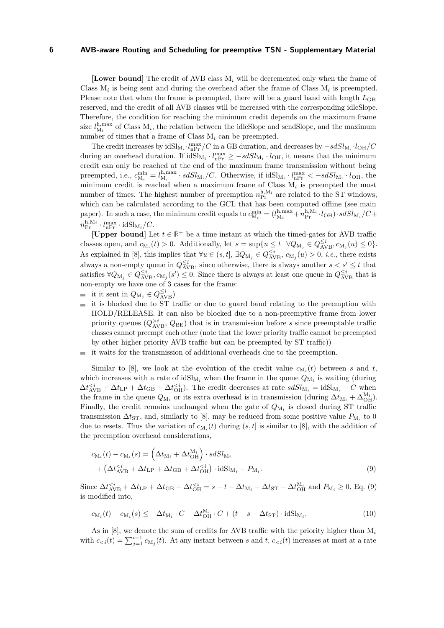**[Lower bound]** The credit of AVB class M*<sup>i</sup>* will be decremented only when the frame of Class  $M_i$  is being sent and during the overhead after the frame of Class  $M_i$  is preempted. Please note that when the frame is preempted, there will be a guard band with length  $L_{GB}$ reserved, and the credit of all AVB classes will be increased with the corresponding idleSlope. Therefore, the condition for reaching the minimum credit depends on the maximum frame size  $l_{\text{M}_i}^{\text{h,max}}$  of Class  $\text{M}_i$ , the relation between the idleSlope and sendSlope, and the maximum number of times that a frame of Class M*<sup>i</sup>* can be preempted.

The credit increases by  $idSl_{M_i} \cdot l_{nPr}^{max}/C$  in a GB duration, and decreases by  $-sdSl_{M_i} \cdot l_{OH}/C$ during an overhead duration. If  $idSl_{M_i} \cdot l_{nP_r}^{max} \ge -sdSl_{M_i} \cdot l_{OH}$ , it means that the minimum credit can only be reached at the end of the maximum frame transmission without being preempted, i.e.,  $c_{\text{M}_i}^{\text{min}} = l_{\text{M}_i}^{\text{h,max}} \cdot sdSl_{\text{M}_i}/C$ . Otherwise, if  $\text{idSl}_{\text{M}_i} \cdot l_{\text{nPr}}^{\text{max}} < -sdSl_{\text{M}_i} \cdot l_{\text{OH}}$ , the minimum credit is reached when a maximum frame of Class M*<sup>i</sup>* is preempted the most number of times. The highest number of preemption  $n_{\text{Pr}}^{\text{h},\text{M}_i}$  are related to the ST windows, which can be calculated according to the GCL that has been computed offline (see main paper). In such a case, the minimum credit equals to  $c_{\mathrm{M}_i}^{\mathrm{min}} = (l_{\mathrm{M}_i}^{\mathrm{h,max}} + n_{\mathrm{Pr}}^{\mathrm{h,M}_i} \cdot l_{\mathrm{OH}}) \cdot sdSl_{\mathrm{M}_i}/C +$  $n_{\rm Pr}^{\rm h, M_i} \cdot l_{\rm nPr}^{\rm max} \cdot \rm idSl_{M_i}/C.$ 

**[Upper bound]** Let  $t \in \mathbb{R}^+$  be a time instant at which the timed-gates for AVB traffic classes open, and  $c_{\mathrm{M}_i}(t) > 0$ . Additionally, let  $s = \sup\{u \le t \mid \forall Q_{\mathrm{M}_j} \in Q_{\mathrm{AVB}}^{\le i}, c_{\mathrm{M}_j}(u) \le 0\}$ . As explained in [\[8\]](#page-7-1), this implies that  $\forall u \in (s, t]$ ,  $\exists Q_{\text{M}_j} \in Q_{\text{AVB}}^{\leq i}$ ,  $c_{\text{M}_j}(u) > 0$ , *i.e.*, there exists always a non-empty queue in  $Q_{AVB}^{\leq i}$ , since otherwise, there is always another  $s < s' \leq t$  that satisfies  $\forall Q_{M_j} \in Q_{AVB}^{\leq i}, c_{M_j}(s') \leq 0$ . Since there is always at least one queue in  $Q_{AVB}^{\leq i}$  that is non-empty we have one of 3 cases for the frame:

- it it sent in  $Q_{M_j} \in Q_{AVB}^{\leq i}$
- $\equiv$  it is blocked due to ST traffic or due to guard band relating to the preemption with HOLD/RELEASE. It can also be blocked due to a non-preemptive frame from lower priority queues  $(Q_{\text{AVB}}^{>i}, Q_{\text{BE}})$  that is in transmission before *s* since preemptable traffic classes cannot preempt each other (note that the lower priority traffic cannot be preempted by other higher priority AVB traffic but can be preempted by ST traffic))
- it waits for the transmission of additional overheads due to the preemption.  $\mathcal{L}_{\mathcal{A}}$

Similar to [\[8\]](#page-7-1), we look at the evolution of the credit value  $c_{M_i}(t)$  between *s* and *t*, which increases with a rate of  $\mathrm{id} \mathrm{Sl}_M$  when the frame in the queue  $Q_{M_i}$  is waiting (during  $\Delta t_{AVB}^{< i} + \Delta t_{LP} + \Delta t_{GB} + \Delta t_{OH}^{< i}$ . The credit decreases at rate  $s dSl_{M_i} = idSl_{M_i} - C$  when the frame in the queue  $Q_{\mathrm{M}_i}$  or its extra overhead is in transmission (during  $\Delta t_{\mathrm{M}_i} + \Delta_{\mathrm{OH}}^{\mathrm{M}_i}$ ). Finally, the credit remains unchanged when the gate of  $Q_{M_i}$  is closed during ST traffic transmission  $\Delta t$ <sub>ST</sub>, and, similarly to [\[8\]](#page-7-1), may be reduced from some positive value  $P_{\text{M}_i}$  to 0 due to resets. Thus the variation of  $c_{M_i}(t)$  during  $(s, t]$  is similar to [\[8\]](#page-7-1), with the addition of the preemption overhead considerations,

<span id="page-5-0"></span>
$$
c_{\mathbf{M}_i}(t) - c_{\mathbf{M}_i}(s) = \left(\Delta t_{\mathbf{M}_i} + \Delta t_{\mathbf{OH}}^{\mathbf{M}_i}\right) \cdot sdSl_{\mathbf{M}_i} + \left(\Delta t_{\mathbf{AVB}}^{&i} + \Delta t_{\mathbf{L}\mathbf{P}} + \Delta t_{\mathbf{GB}} + \Delta t_{\mathbf{OH}}^{&i}\right) \cdot idSl_{\mathbf{M}_i} - P_{\mathbf{M}_i}.
$$
\n(9)

Since  $\Delta t_{\text{AVB}}^{*i} + \Delta t_{\text{LP}} + \Delta t_{\text{GB}} + \Delta t_{\text{OH}}^{*i} = s - t - \Delta t_{\text{M}_i} - \Delta t_{\text{ST}} - \Delta t_{\text{OH}}^{M_i}**$  and  $P_{\text{M}_i} \geq 0$ , Eq. [\(9\)](#page-5-0) is modified into,

<span id="page-5-1"></span>
$$
c_{\mathcal{M}_i}(t) - c_{\mathcal{M}_i}(s) \le -\Delta t_{\mathcal{M}_i} \cdot C - \Delta t_{\mathcal{O}H}^{M_i} \cdot C + (t - s - \Delta t_{\mathcal{S}T}) \cdot \mathrm{id} \mathcal{S} \mathcal{I}_{M_i}.
$$
\n
$$
(10)
$$

As in [\[8\]](#page-7-1), we denote the sum of credits for AVB traffic with the priority higher than M*<sup>i</sup>* with  $c_{\le i}(t) = \sum_{j=1}^{i-1} c_{M_j}(t)$ . At any instant between *s* and *t*,  $c_{\le i}(t)$  increases at most at a rate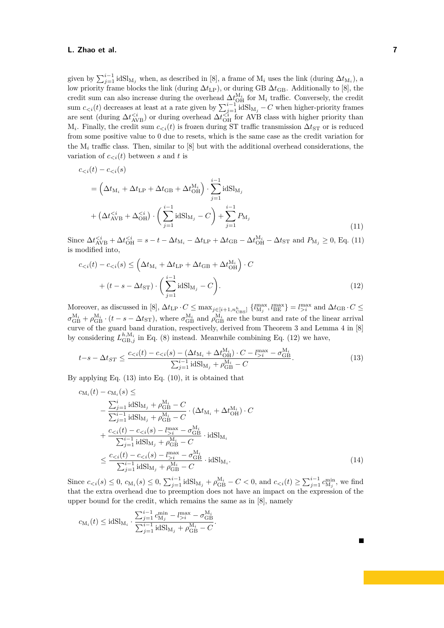## **L. Zhao et al. 7**

given by  $\sum_{j=1}^{i-1} i dS l_{M_j}$  when, as described in [\[8\]](#page-7-1), a frame of  $M_i$  uses the link (during  $\Delta t_{M_i}$ ), a low priority frame blocks the link (during Δ*t*<sub>LP</sub>), or during GB Δ*t*<sub>GB</sub>. Additionally to [\[8\]](#page-7-1), the credit sum can also increase during the overhead  $\Delta t_{\rm OH}^{M_i}$  for M<sub>i</sub> traffic. Conversely, the credit sum  $c_{\leq i}(t)$  decreases at least at a rate given by  $\sum_{j=1}^{i-1} i dS I_{M_j} - C$  when higher-priority frames are sent (during  $\Delta t_{AVB}^{< i}$ ) or during overhead  $\Delta t_{OH}^{< i}$  for AVB class with higher priority than  $M_i$ . Finally, the credit sum  $c_{\lt i}(t)$  is frozen during ST traffic transmission  $\Delta t$ <sub>ST</sub> or is reduced from some positive value to 0 due to resets, which is the same case as the credit variation for the M*<sup>i</sup>* traffic class. Then, similar to [\[8\]](#page-7-1) but with the additional overhead considerations, the variation of  $c_{\leq i}(t)$  between *s* and *t* is

<span id="page-6-0"></span>
$$
c_{< i}(t) - c_{< i}(s)
$$
\n
$$
= \left(\Delta t_{\mathrm{M}_i} + \Delta t_{\mathrm{LP}} + \Delta t_{\mathrm{GB}} + \Delta t_{\mathrm{OH}}^{\mathrm{M}_i}\right) \cdot \sum_{j=1}^{i-1} \mathrm{idS} I_{\mathrm{M}_j}
$$
\n
$$
+ \left(\Delta t_{\mathrm{AVB}}^{< i} + \Delta_{\mathrm{OH}}^{< i}\right) \cdot \left(\sum_{j=1}^{i-1} \mathrm{idS} I_{\mathrm{M}_j} - C\right) + \sum_{j=1}^{i-1} P_{\mathrm{M}_j}
$$
\n
$$
(11)
$$

Since  $\Delta t_{\text{AVB}}^{*i} + \Delta t_{\text{OH}}^{*i} = s - t - \Delta t_{\text{M}_i} - \Delta t_{\text{LP}} + \Delta t_{\text{GB}} - \Delta t_{\text{OH}}^{M_i} - \Delta t_{\text{ST}}**$  and  $P_{\text{M}_j} \geq 0$ , Eq. [\(11\)](#page-6-0) is modified into,

<span id="page-6-1"></span>
$$
c_{< i}(t) - c_{< i}(s) \leq \left(\Delta t_{\mathrm{M}_i} + \Delta t_{\mathrm{LP}} + \Delta t_{\mathrm{GB}} + \Delta t_{\mathrm{OH}}^{M_i}\right) \cdot C
$$
  
+ 
$$
(t - s - \Delta t_{\mathrm{ST}}) \cdot \left(\sum_{j=1}^{i-1} \mathrm{id} \mathrm{Sl}_{\mathrm{M}_j} - C\right).
$$
 (12)

Moreover, as discussed in [\[8\]](#page-7-1),  $\Delta t_{\text{LP}} \cdot C \le \max_{j \in [i+1, n_{\text{CBS}}^h]} \{ l_{\text{M}_j}^{\text{max}}, l_{\text{BE}}^{\text{max}} \} = l_{>i}^{\text{max}}$  and  $\Delta t_{\text{GB}} \cdot C \le$  $\sigma_{\text{GB}}^{\text{M}_i} + \rho_{\text{GB}}^{\text{M}_i} \cdot (t - s - \Delta t_{\text{ST}})$ , where  $\sigma_{\text{GB}}^{\text{M}_i}$  and  $\rho_{\text{GB}}^{\text{M}_i}$  are the burst and rate of the linear arrival curve of the guard band duration, respectively, derived from Theorem 3 and Lemma 4 in [\[8\]](#page-7-1) by considering  $L_{GB,j}^{h,M_i}$  in Eq. [\(8\)](#page-4-2) instead. Meanwhile combining Eq. [\(12\)](#page-6-1) we have,

$$
t - s - \Delta t_{ST} \le \frac{c_{< i}(t) - c_{< i}(s) - (\Delta t_{\text{M}_i} + \Delta t_{\text{OH}}^{\text{M}_i}) \cdot C - l_{> i}^{\text{max}} - \sigma_{\text{GB}}^{\text{M}_i}}{\sum_{j=1}^{i-1} i \text{dS} \mathbf{l}_{\text{M}_j} + \rho_{\text{GB}}^{\text{M}_i} - C}.
$$
\n(13)

By applying Eq.  $(13)$  into Eq.  $(10)$ , it is obtained that

$$
c_{\mathbf{M}_{i}}(t) - c_{\mathbf{M}_{i}}(s) \le
$$
\n
$$
- \frac{\sum_{j=1}^{i} \text{idS} \mathbf{M}_{j} + \rho_{\mathbf{G}\mathbf{B}}^{\mathbf{M}_{i}} - C}{\sum_{j=1}^{i-1} \text{idS} \mathbf{M}_{j} + \rho_{\mathbf{G}\mathbf{B}}^{\mathbf{M}_{i}} - C} \cdot (\Delta t_{\mathbf{M}_{i}} + \Delta t_{\mathbf{OH}}^{\mathbf{M}_{i}}) \cdot C
$$
\n
$$
+ \frac{c_{i}^{\max} - \sigma_{\mathbf{G}\mathbf{B}}^{\mathbf{M}_{i}}}{\sum_{j=1}^{i-1} \text{idS} \mathbf{M}_{j} + \rho_{\mathbf{G}\mathbf{B}}^{\mathbf{M}_{i}} - C} \cdot \text{idS} \mathbf{M}_{i}
$$
\n
$$
\leq \frac{c_{i}^{\max} - \sigma_{\mathbf{G}\mathbf{B}}^{\mathbf{M}_{i}}}{\sum_{j=1}^{i-1} \text{idS} \mathbf{M}_{j} + \rho_{\mathbf{G}\mathbf{B}}^{\mathbf{M}_{i}} - C} \cdot \text{idS} \mathbf{M}_{i}.
$$
\n(14)

Since  $c_{\le i}(s) \le 0$ ,  $c_{M_i}(s) \le 0$ ,  $\sum_{j=1}^{i-1} i dS l_{M_j} + \rho_{GB}^{M_i} - C < 0$ , and  $c_{\le i}(t) \ge \sum_{j=1}^{i-1} c_{M_j}^{min}$ , we find that the extra overhead due to preemption does not have an impact on the expression of the upper bound for the credit, which remains the same as in [\[8\]](#page-7-1), namely

$$
c_{\mathcal{M}_i}(t) \leq \text{idSl}_{\mathcal{M}_i} \cdot \frac{\sum_{j=1}^{i-1} c_{\mathcal{M}_j}^{\min} - l_{>i}^{\max} - \sigma_{\mathcal{GB}}^{\mathcal{M}_i}}{\sum_{j=1}^{i-1} \text{idSl}_{\mathcal{M}_j} + \rho_{\mathcal{GB}}^{\mathcal{M}_i} - C}.
$$

<span id="page-6-2"></span>